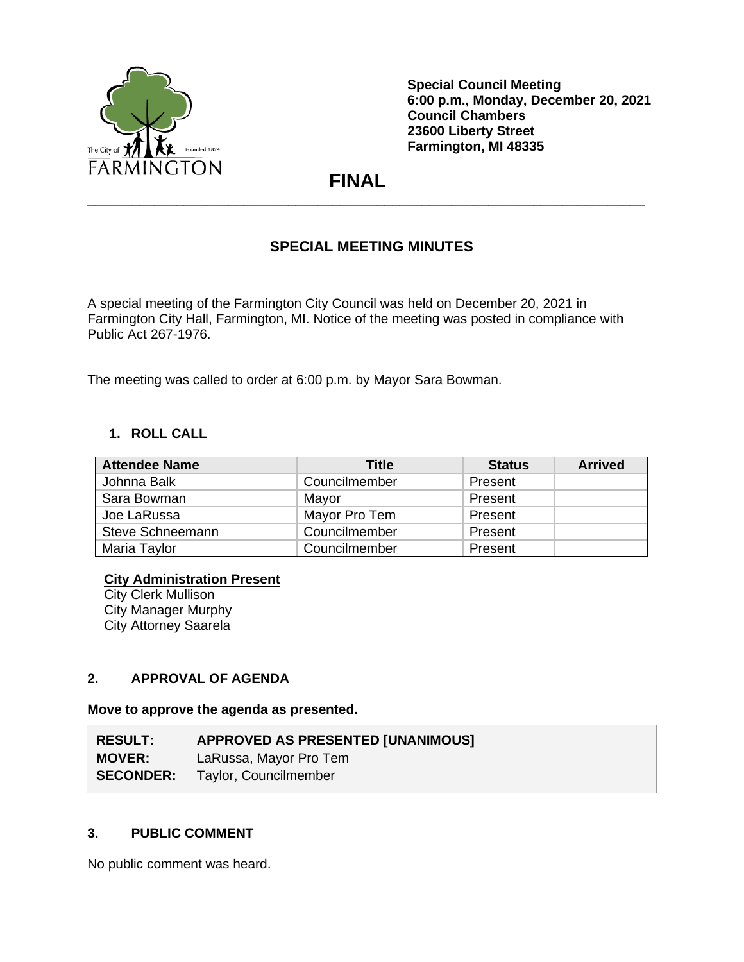

**Special Council Meeting 6:00 p.m., Monday, December 20, 2021 Council Chambers 23600 Liberty Street Farmington, MI 48335**

 **FINAL**

**\_\_\_\_\_\_\_\_\_\_\_\_\_\_\_\_\_\_\_\_\_\_\_\_\_\_\_\_\_\_\_\_\_\_\_\_\_\_\_\_\_\_\_\_\_\_\_\_\_\_\_\_\_\_\_\_\_\_\_\_\_\_\_\_\_\_\_\_\_\_\_\_\_\_\_**

# **SPECIAL MEETING MINUTES**

A special meeting of the Farmington City Council was held on December 20, 2021 in Farmington City Hall, Farmington, MI. Notice of the meeting was posted in compliance with Public Act 267-1976.

The meeting was called to order at 6:00 p.m. by Mayor Sara Bowman.

# **1. ROLL CALL**

| <b>Attendee Name</b>    | <b>Title</b>  | <b>Status</b> | <b>Arrived</b> |
|-------------------------|---------------|---------------|----------------|
| Johnna Balk             | Councilmember | Present       |                |
| Sara Bowman             | Mayor         | Present       |                |
| Joe LaRussa             | Mayor Pro Tem | Present       |                |
| <b>Steve Schneemann</b> | Councilmember | Present       |                |
| Maria Taylor            | Councilmember | Present       |                |

### **City Administration Present**

**City Clerk Mullison** City Manager Murphy City Attorney Saarela

### **2. APPROVAL OF AGENDA**

**Move to approve the agenda as presented.**

| <b>RESULT:</b>   | <b>APPROVED AS PRESENTED [UNANIMOUS]</b> |
|------------------|------------------------------------------|
| <b>MOVER:</b>    | LaRussa, Mayor Pro Tem                   |
| <b>SECONDER:</b> | Taylor, Councilmember                    |

### **3. PUBLIC COMMENT**

No public comment was heard.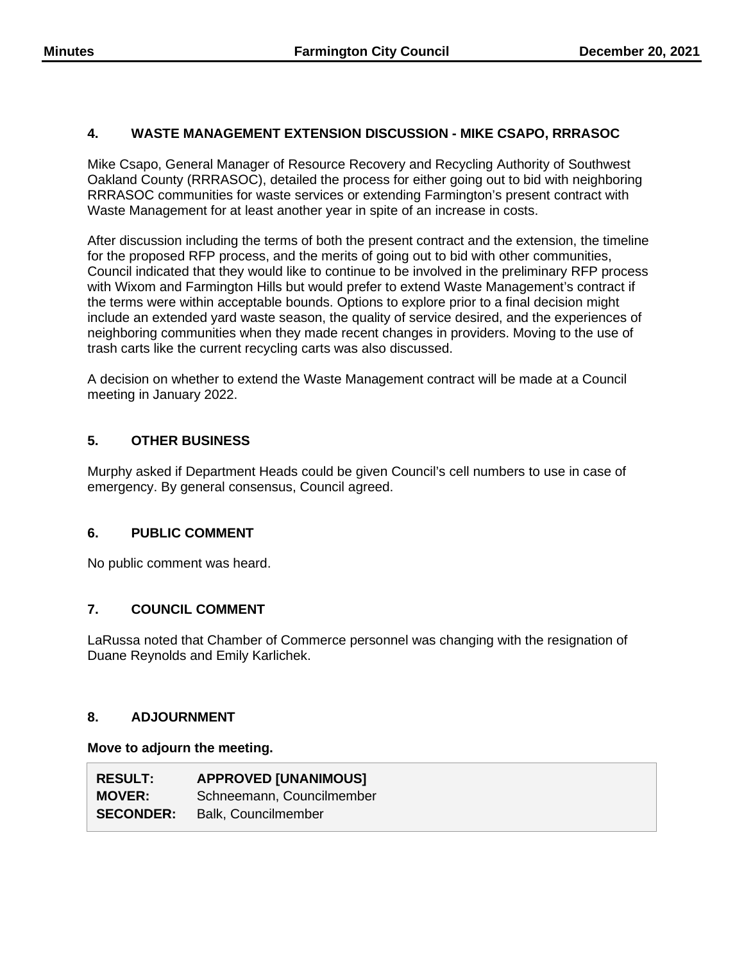# **4. WASTE MANAGEMENT EXTENSION DISCUSSION - MIKE CSAPO, RRRASOC**

Mike Csapo, General Manager of Resource Recovery and Recycling Authority of Southwest Oakland County (RRRASOC), detailed the process for either going out to bid with neighboring RRRASOC communities for waste services or extending Farmington's present contract with Waste Management for at least another year in spite of an increase in costs.

After discussion including the terms of both the present contract and the extension, the timeline for the proposed RFP process, and the merits of going out to bid with other communities, Council indicated that they would like to continue to be involved in the preliminary RFP process with Wixom and Farmington Hills but would prefer to extend Waste Management's contract if the terms were within acceptable bounds. Options to explore prior to a final decision might include an extended yard waste season, the quality of service desired, and the experiences of neighboring communities when they made recent changes in providers. Moving to the use of trash carts like the current recycling carts was also discussed.

A decision on whether to extend the Waste Management contract will be made at a Council meeting in January 2022.

# **5. OTHER BUSINESS**

Murphy asked if Department Heads could be given Council's cell numbers to use in case of emergency. By general consensus, Council agreed.

# **6. PUBLIC COMMENT**

No public comment was heard.

# **7. COUNCIL COMMENT**

LaRussa noted that Chamber of Commerce personnel was changing with the resignation of Duane Reynolds and Emily Karlichek.

# **8. ADJOURNMENT**

#### **Move to adjourn the meeting.**

| <b>RESULT:</b>   | <b>APPROVED [UNANIMOUS]</b> |
|------------------|-----------------------------|
| <b>MOVER:</b>    | Schneemann, Councilmember   |
| <b>SECONDER:</b> | <b>Balk, Councilmember</b>  |